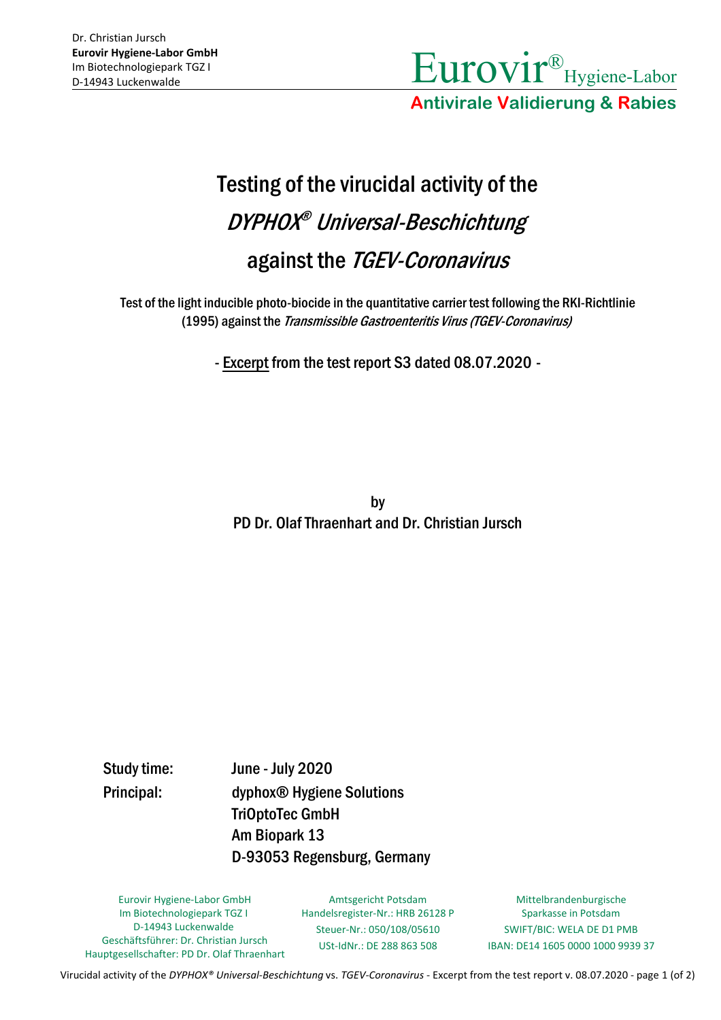

**Antivirale Validierung & Rabies**

## Testing of the virucidal activity of the DYPHOX ® Universal-Beschichtung against the TGEV-Coronavirus

Test of the light inducible photo-biocide in the quantitative carrier test following the RKI-Richtlinie (1995) against the Transmissible Gastroenteritis Virus (TGEV-Coronavirus)

- Excerpt from the test report S3 dated 08.07.2020 -

by PD Dr. Olaf Thraenhart and Dr. Christian Jursch

Study time: June - July 2020 Principal: dyphox® Hygiene Solutions TriOptoTec GmbH Am Biopark 13 D-93053 Regensburg, Germany

Eurovir Hygiene-Labor GmbH Im Biotechnologiepark TGZ I D-14943 Luckenwalde Geschäftsführer: Dr. Christian Jursch Hauptgesellschafter: PD Dr. Olaf Thraenhart

Amtsgericht Potsdam Handelsregister-Nr.: HRB 26128 P Steuer-Nr.: 050/108/05610 USt-IdNr.: DE 288 863 508

Mittelbrandenburgische Sparkasse in Potsdam SWIFT/BIC: WELA DE D1 PMB IBAN: DE14 1605 0000 1000 9939 37

Virucidal activity of the *DYPHOX® Universal-Beschichtung* vs. *TGEV-Coronavirus* - Excerpt from the test report v. 08.07.2020 - page 1 (of 2)